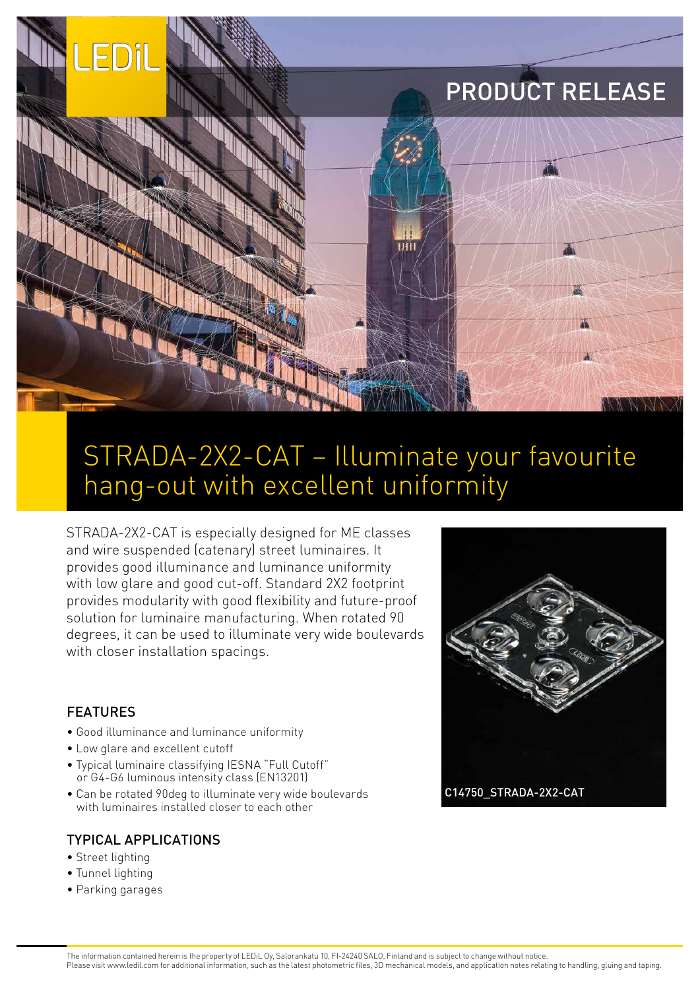# PRODUCT RELEASE



## STRADA-2X2-CAT – Illuminate your favourite hang-out with excellent uniformity

STRADA-2X2-CAT is especially designed for ME classes and wire suspended (catenary) street luminaires. It provides good illuminance and luminance uniformity with low glare and good cut-off. Standard 2X2 footprint provides modularity with good flexibility and future-proof solution for luminaire manufacturing. When rotated 90 degrees, it can be used to illuminate very wide boulevards with closer installation spacings.

#### FEATURES

FDil

- Good illuminance and luminance uniformity
- Low glare and excellent cutoff
- Typical luminaire classifying IESNA "Full Cutoff" or G4-G6 luminous intensity class (EN13201)
- Can be rotated 90deg to illuminate very wide boulevards with luminaires installed closer to each other

#### TYPICAL APPLICATIONS

- Street lighting
- Tunnel lighting
- Parking garages